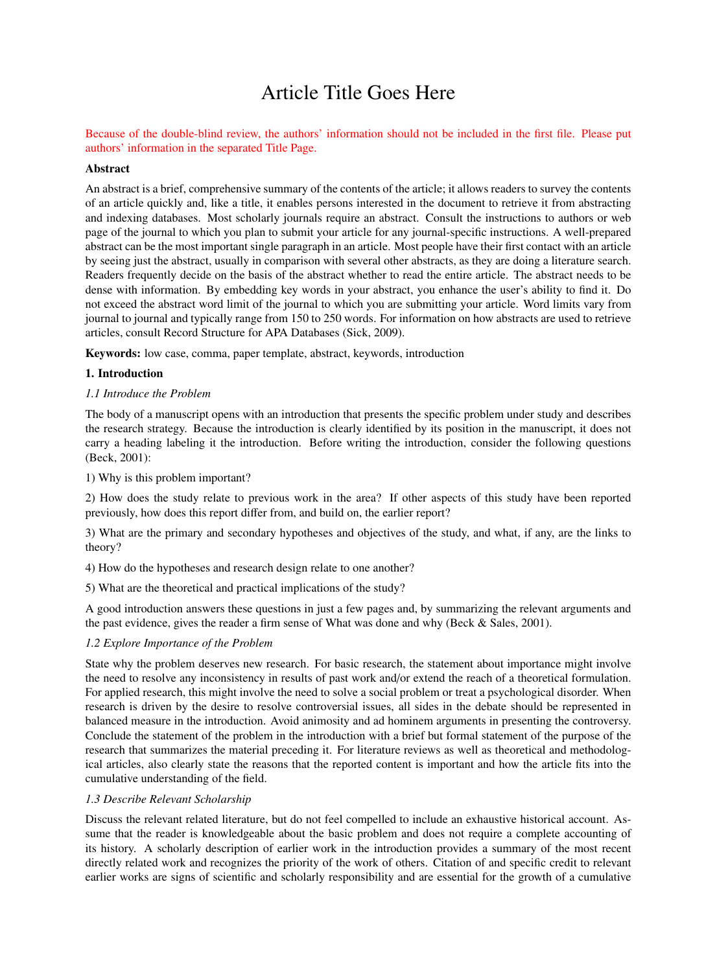# Article Title Goes Here

Because of the double-blind review, the authors' information should not be included in the first file. Please put authors' information in the separated Title Page.

## Abstract

An abstract is a brief, comprehensive summary of the contents of the article; it allows readers to survey the contents of an article quickly and, like a title, it enables persons interested in the document to retrieve it from abstracting and indexing databases. Most scholarly journals require an abstract. Consult the instructions to authors or web page of the journal to which you plan to submit your article for any journal-specific instructions. A well-prepared abstract can be the most important single paragraph in an article. Most people have their first contact with an article by seeing just the abstract, usually in comparison with several other abstracts, as they are doing a literature search. Readers frequently decide on the basis of the abstract whether to read the entire article. The abstract needs to be dense with information. By embedding key words in your abstract, you enhance the user's ability to find it. Do not exceed the abstract word limit of the journal to which you are submitting your article. Word limits vary from journal to journal and typically range from 150 to 250 words. For information on how abstracts are used to retrieve articles, consult Record Structure for APA Databases (Sick, 2009).

Keywords: low case, comma, paper template, abstract, keywords, introduction

## 1. Introduction

## *1.1 Introduce the Problem*

The body of a manuscript opens with an introduction that presents the specific problem under study and describes the research strategy. Because the introduction is clearly identified by its position in the manuscript, it does not carry a heading labeling it the introduction. Before writing the introduction, consider the following questions (Beck, 2001):

#### 1) Why is this problem important?

2) How does the study relate to previous work in the area? If other aspects of this study have been reported previously, how does this report differ from, and build on, the earlier report?

3) What are the primary and secondary hypotheses and objectives of the study, and what, if any, are the links to theory?

4) How do the hypotheses and research design relate to one another?

5) What are the theoretical and practical implications of the study?

A good introduction answers these questions in just a few pages and, by summarizing the relevant arguments and the past evidence, gives the reader a firm sense of What was done and why (Beck & Sales, 2001).

# *1.2 Explore Importance of the Problem*

State why the problem deserves new research. For basic research, the statement about importance might involve the need to resolve any inconsistency in results of past work and/or extend the reach of a theoretical formulation. For applied research, this might involve the need to solve a social problem or treat a psychological disorder. When research is driven by the desire to resolve controversial issues, all sides in the debate should be represented in balanced measure in the introduction. Avoid animosity and ad hominem arguments in presenting the controversy. Conclude the statement of the problem in the introduction with a brief but formal statement of the purpose of the research that summarizes the material preceding it. For literature reviews as well as theoretical and methodological articles, also clearly state the reasons that the reported content is important and how the article fits into the cumulative understanding of the field.

#### *1.3 Describe Relevant Scholarship*

Discuss the relevant related literature, but do not feel compelled to include an exhaustive historical account. Assume that the reader is knowledgeable about the basic problem and does not require a complete accounting of its history. A scholarly description of earlier work in the introduction provides a summary of the most recent directly related work and recognizes the priority of the work of others. Citation of and specific credit to relevant earlier works are signs of scientific and scholarly responsibility and are essential for the growth of a cumulative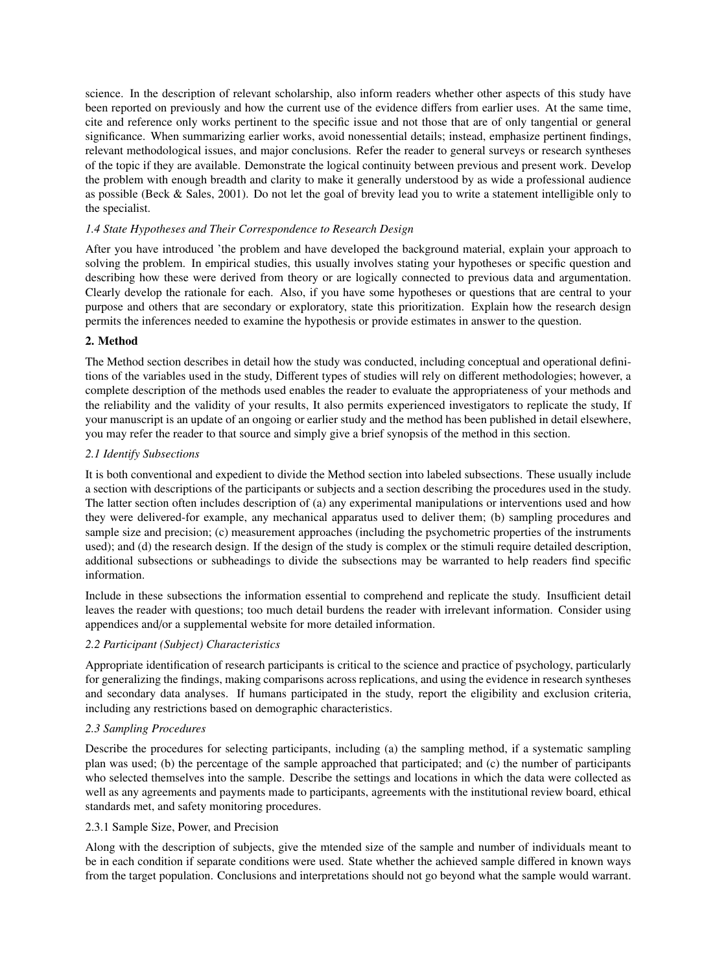science. In the description of relevant scholarship, also inform readers whether other aspects of this study have been reported on previously and how the current use of the evidence differs from earlier uses. At the same time, cite and reference only works pertinent to the specific issue and not those that are of only tangential or general significance. When summarizing earlier works, avoid nonessential details; instead, emphasize pertinent findings, relevant methodological issues, and major conclusions. Refer the reader to general surveys or research syntheses of the topic if they are available. Demonstrate the logical continuity between previous and present work. Develop the problem with enough breadth and clarity to make it generally understood by as wide a professional audience as possible (Beck & Sales, 2001). Do not let the goal of brevity lead you to write a statement intelligible only to the specialist.

## *1.4 State Hypotheses and Their Correspondence to Research Design*

After you have introduced 'the problem and have developed the background material, explain your approach to solving the problem. In empirical studies, this usually involves stating your hypotheses or specific question and describing how these were derived from theory or are logically connected to previous data and argumentation. Clearly develop the rationale for each. Also, if you have some hypotheses or questions that are central to your purpose and others that are secondary or exploratory, state this prioritization. Explain how the research design permits the inferences needed to examine the hypothesis or provide estimates in answer to the question.

## 2. Method

The Method section describes in detail how the study was conducted, including conceptual and operational definitions of the variables used in the study, Different types of studies will rely on different methodologies; however, a complete description of the methods used enables the reader to evaluate the appropriateness of your methods and the reliability and the validity of your results, It also permits experienced investigators to replicate the study, If your manuscript is an update of an ongoing or earlier study and the method has been published in detail elsewhere, you may refer the reader to that source and simply give a brief synopsis of the method in this section.

#### *2.1 Identify Subsections*

It is both conventional and expedient to divide the Method section into labeled subsections. These usually include a section with descriptions of the participants or subjects and a section describing the procedures used in the study. The latter section often includes description of (a) any experimental manipulations or interventions used and how they were delivered-for example, any mechanical apparatus used to deliver them; (b) sampling procedures and sample size and precision; (c) measurement approaches (including the psychometric properties of the instruments used); and (d) the research design. If the design of the study is complex or the stimuli require detailed description, additional subsections or subheadings to divide the subsections may be warranted to help readers find specific information.

Include in these subsections the information essential to comprehend and replicate the study. Insufficient detail leaves the reader with questions; too much detail burdens the reader with irrelevant information. Consider using appendices and/or a supplemental website for more detailed information.

# *2.2 Participant (Subject) Characteristics*

Appropriate identification of research participants is critical to the science and practice of psychology, particularly for generalizing the findings, making comparisons across replications, and using the evidence in research syntheses and secondary data analyses. If humans participated in the study, report the eligibility and exclusion criteria, including any restrictions based on demographic characteristics.

#### *2.3 Sampling Procedures*

Describe the procedures for selecting participants, including (a) the sampling method, if a systematic sampling plan was used; (b) the percentage of the sample approached that participated; and (c) the number of participants who selected themselves into the sample. Describe the settings and locations in which the data were collected as well as any agreements and payments made to participants, agreements with the institutional review board, ethical standards met, and safety monitoring procedures.

## 2.3.1 Sample Size, Power, and Precision

Along with the description of subjects, give the mtended size of the sample and number of individuals meant to be in each condition if separate conditions were used. State whether the achieved sample differed in known ways from the target population. Conclusions and interpretations should not go beyond what the sample would warrant.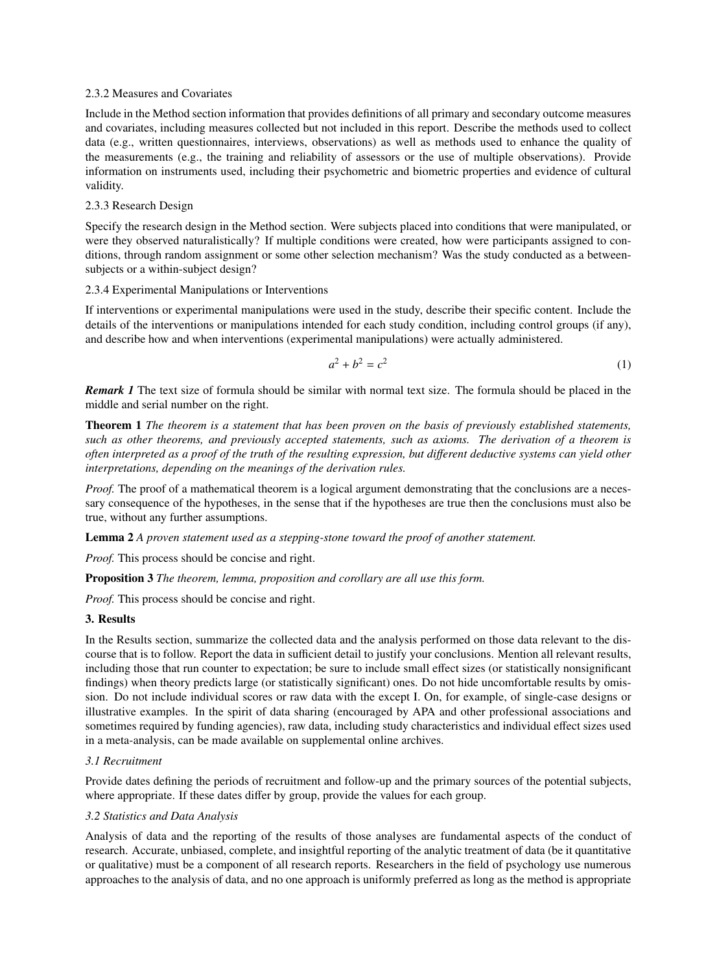## 2.3.2 Measures and Covariates

Include in the Method section information that provides definitions of all primary and secondary outcome measures and covariates, including measures collected but not included in this report. Describe the methods used to collect data (e.g., written questionnaires, interviews, observations) as well as methods used to enhance the quality of the measurements (e.g., the training and reliability of assessors or the use of multiple observations). Provide information on instruments used, including their psychometric and biometric properties and evidence of cultural validity.

## 2.3.3 Research Design

Specify the research design in the Method section. Were subjects placed into conditions that were manipulated, or were they observed naturalistically? If multiple conditions were created, how were participants assigned to conditions, through random assignment or some other selection mechanism? Was the study conducted as a betweensubjects or a within-subject design?

#### 2.3.4 Experimental Manipulations or Interventions

If interventions or experimental manipulations were used in the study, describe their specific content. Include the details of the interventions or manipulations intended for each study condition, including control groups (if any), and describe how and when interventions (experimental manipulations) were actually administered.

$$
a^2 + b^2 = c^2 \tag{1}
$$

*Remark 1* The text size of formula should be similar with normal text size. The formula should be placed in the middle and serial number on the right.

Theorem 1 *The theorem is a statement that has been proven on the basis of previously established statements, such as other theorems, and previously accepted statements, such as axioms. The derivation of a theorem is often interpreted as a proof of the truth of the resulting expression, but di*ff*erent deductive systems can yield other interpretations, depending on the meanings of the derivation rules.*

*Proof.* The proof of a mathematical theorem is a logical argument demonstrating that the conclusions are a necessary consequence of the hypotheses, in the sense that if the hypotheses are true then the conclusions must also be true, without any further assumptions.

Lemma 2 *A proven statement used as a stepping-stone toward the proof of another statement.*

*Proof.* This process should be concise and right.

Proposition 3 *The theorem, lemma, proposition and corollary are all use this form.*

*Proof.* This process should be concise and right.

#### 3. Results

In the Results section, summarize the collected data and the analysis performed on those data relevant to the discourse that is to follow. Report the data in sufficient detail to justify your conclusions. Mention all relevant results, including those that run counter to expectation; be sure to include small effect sizes (or statistically nonsignificant findings) when theory predicts large (or statistically significant) ones. Do not hide uncomfortable results by omission. Do not include individual scores or raw data with the except I. On, for example, of single-case designs or illustrative examples. In the spirit of data sharing (encouraged by APA and other professional associations and sometimes required by funding agencies), raw data, including study characteristics and individual effect sizes used in a meta-analysis, can be made available on supplemental online archives.

#### *3.1 Recruitment*

Provide dates defining the periods of recruitment and follow-up and the primary sources of the potential subjects, where appropriate. If these dates differ by group, provide the values for each group.

#### *3.2 Statistics and Data Analysis*

Analysis of data and the reporting of the results of those analyses are fundamental aspects of the conduct of research. Accurate, unbiased, complete, and insightful reporting of the analytic treatment of data (be it quantitative or qualitative) must be a component of all research reports. Researchers in the field of psychology use numerous approaches to the analysis of data, and no one approach is uniformly preferred as long as the method is appropriate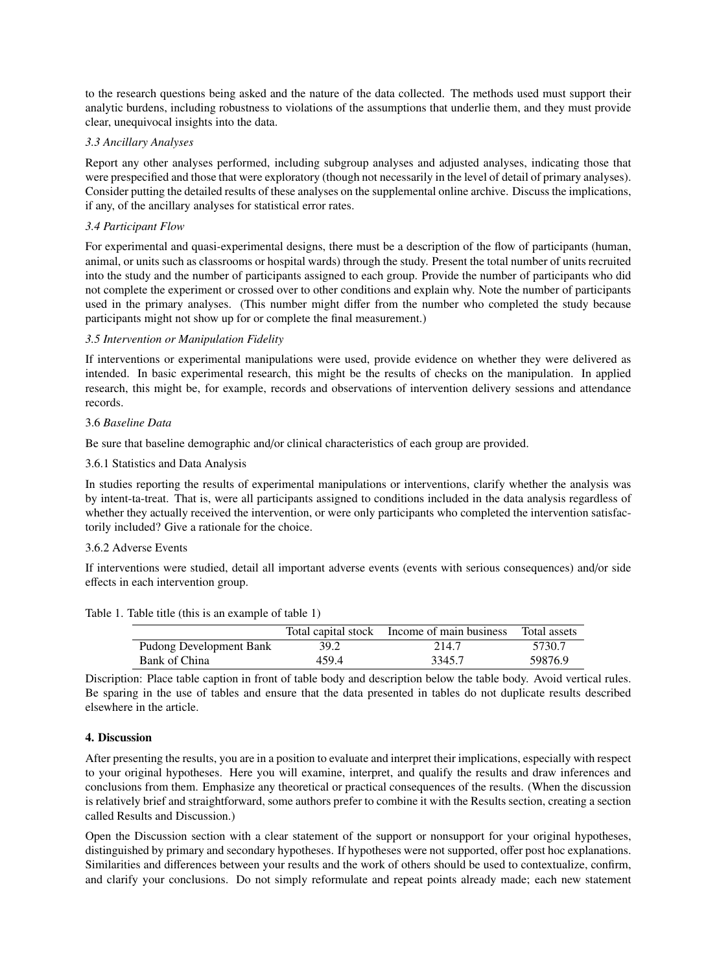to the research questions being asked and the nature of the data collected. The methods used must support their analytic burdens, including robustness to violations of the assumptions that underlie them, and they must provide clear, unequivocal insights into the data.

## *3.3 Ancillary Analyses*

Report any other analyses performed, including subgroup analyses and adjusted analyses, indicating those that were prespecified and those that were exploratory (though not necessarily in the level of detail of primary analyses). Consider putting the detailed results of these analyses on the supplemental online archive. Discuss the implications, if any, of the ancillary analyses for statistical error rates.

## *3.4 Participant Flow*

For experimental and quasi-experimental designs, there must be a description of the flow of participants (human, animal, or units such as classrooms or hospital wards) through the study. Present the total number of units recruited into the study and the number of participants assigned to each group. Provide the number of participants who did not complete the experiment or crossed over to other conditions and explain why. Note the number of participants used in the primary analyses. (This number might differ from the number who completed the study because participants might not show up for or complete the final measurement.)

## *3.5 Intervention or Manipulation Fidelity*

If interventions or experimental manipulations were used, provide evidence on whether they were delivered as intended. In basic experimental research, this might be the results of checks on the manipulation. In applied research, this might be, for example, records and observations of intervention delivery sessions and attendance records.

## <sup>3</sup>.<sup>6</sup> *Baseline Data*

Be sure that baseline demographic and/or clinical characteristics of each group are provided.

## 3.6.1 Statistics and Data Analysis

In studies reporting the results of experimental manipulations or interventions, clarify whether the analysis was by intent-ta-treat. That is, were all participants assigned to conditions included in the data analysis regardless of whether they actually received the intervention, or were only participants who completed the intervention satisfactorily included? Give a rationale for the choice.

#### 3.6.2 Adverse Events

If interventions were studied, detail all important adverse events (events with serious consequences) and/or side effects in each intervention group.

#### Table 1. Table title (this is an example of table 1)

|                         |       | Total capital stock Income of main business | Total assets |
|-------------------------|-------|---------------------------------------------|--------------|
| Pudong Development Bank | 39.2  | 214.7                                       | 5730.7       |
| Bank of China           | 459.4 | 3345.7                                      | 59876.9      |

Discription: Place table caption in front of table body and description below the table body. Avoid vertical rules. Be sparing in the use of tables and ensure that the data presented in tables do not duplicate results described elsewhere in the article.

#### 4. Discussion

After presenting the results, you are in a position to evaluate and interpret their implications, especially with respect to your original hypotheses. Here you will examine, interpret, and qualify the results and draw inferences and conclusions from them. Emphasize any theoretical or practical consequences of the results. (When the discussion is relatively brief and straightforward, some authors prefer to combine it with the Results section, creating a section called Results and Discussion.)

Open the Discussion section with a clear statement of the support or nonsupport for your original hypotheses, distinguished by primary and secondary hypotheses. If hypotheses were not supported, offer post hoc explanations. Similarities and differences between your results and the work of others should be used to contextualize, confirm, and clarify your conclusions. Do not simply reformulate and repeat points already made; each new statement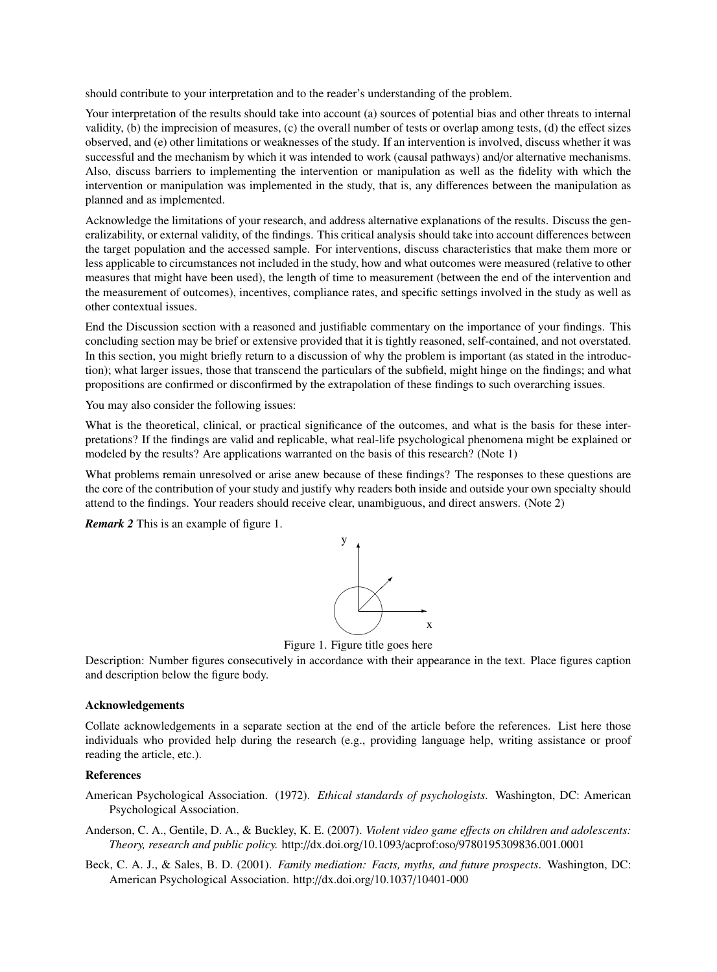should contribute to your interpretation and to the reader's understanding of the problem.

Your interpretation of the results should take into account (a) sources of potential bias and other threats to internal validity, (b) the imprecision of measures, (c) the overall number of tests or overlap among tests, (d) the effect sizes observed, and (e) other limitations or weaknesses of the study. If an intervention is involved, discuss whether it was successful and the mechanism by which it was intended to work (causal pathways) and/or alternative mechanisms. Also, discuss barriers to implementing the intervention or manipulation as well as the fidelity with which the intervention or manipulation was implemented in the study, that is, any differences between the manipulation as planned and as implemented.

Acknowledge the limitations of your research, and address alternative explanations of the results. Discuss the generalizability, or external validity, of the findings. This critical analysis should take into account differences between the target population and the accessed sample. For interventions, discuss characteristics that make them more or less applicable to circumstances not included in the study, how and what outcomes were measured (relative to other measures that might have been used), the length of time to measurement (between the end of the intervention and the measurement of outcomes), incentives, compliance rates, and specific settings involved in the study as well as other contextual issues.

End the Discussion section with a reasoned and justifiable commentary on the importance of your findings. This concluding section may be brief or extensive provided that it is tightly reasoned, self-contained, and not overstated. In this section, you might briefly return to a discussion of why the problem is important (as stated in the introduction); what larger issues, those that transcend the particulars of the subfield, might hinge on the findings; and what propositions are confirmed or disconfirmed by the extrapolation of these findings to such overarching issues.

You may also consider the following issues:

What is the theoretical, clinical, or practical significance of the outcomes, and what is the basis for these interpretations? If the findings are valid and replicable, what real-life psychological phenomena might be explained or modeled by the results? Are applications warranted on the basis of this research? (Note 1)

What problems remain unresolved or arise anew because of these findings? The responses to these questions are the core of the contribution of your study and justify why readers both inside and outside your own specialty should attend to the findings. Your readers should receive clear, unambiguous, and direct answers. (Note 2)

*Remark 2* This is an example of figure 1.



Figure 1. Figure title goes here

Description: Number figures consecutively in accordance with their appearance in the text. Place figures caption and description below the figure body.

#### Acknowledgements

Collate acknowledgements in a separate section at the end of the article before the references. List here those individuals who provided help during the research (e.g., providing language help, writing assistance or proof reading the article, etc.).

#### References

- American Psychological Association. (1972). *Ethical standards of psychologists*. Washington, DC: American Psychological Association.
- Anderson, C. A., Gentile, D. A., & Buckley, K. E. (2007). *Violent video game e*ff*ects on children and adolescents: Theory, research and public policy.* http://dx.doi.org/10.1093/acprof:oso/9780195309836.001.0001
- Beck, C. A. J., & Sales, B. D. (2001). *Family mediation: Facts, myths, and future prospects*. Washington, DC: American Psychological Association. http://dx.doi.org/10.1037/10401-000